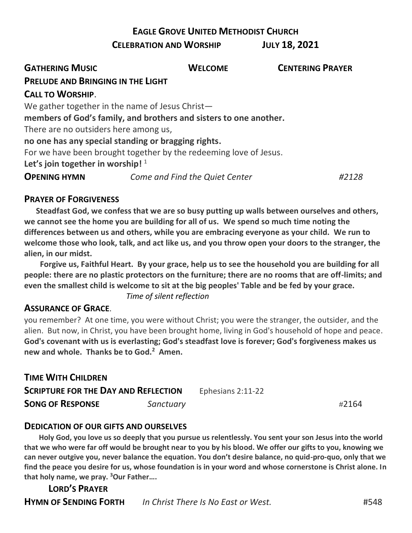## **EAGLE GROVE UNITED METHODIST CHURCH**

#### **CELEBRATION AND WORSHIP JULY 18, 2021**

| <b>GATHERING MUSIC</b>                                            | <b>WELCOME</b>                 | <b>CENTERING PRAYER</b> |
|-------------------------------------------------------------------|--------------------------------|-------------------------|
| <b>PRELUDE AND BRINGING IN THE LIGHT</b>                          |                                |                         |
| <b>CALL TO WORSHIP.</b>                                           |                                |                         |
| We gather together in the name of Jesus Christ-                   |                                |                         |
| members of God's family, and brothers and sisters to one another. |                                |                         |
| There are no outsiders here among us,                             |                                |                         |
| no one has any special standing or bragging rights.               |                                |                         |
| For we have been brought together by the redeeming love of Jesus. |                                |                         |
| Let's join together in worship! $1$                               |                                |                         |
| <b>OPENING HYMN</b>                                               | Come and Find the Quiet Center | #2128                   |

### **PRAYER OF FORGIVENESS**

 **Steadfast God, we confess that we are so busy putting up walls between ourselves and others, we cannot see the home you are building for all of us. We spend so much time noting the differences between us and others, while you are embracing everyone as your child. We run to welcome those who look, talk, and act like us, and you throw open your doors to the stranger, the alien, in our midst.**

 **Forgive us, Faithful Heart. By your grace, help us to see the household you are building for all people: there are no plastic protectors on the furniture; there are no rooms that are off-limits; and even the smallest child is welcome to sit at the big peoples' Table and be fed by your grace.**

*Time of silent reflection*

### **ASSURANCE OF GRACE**.

you remember? At one time, you were without Christ; you were the stranger, the outsider, and the alien. But now, in Christ, you have been brought home, living in God's household of hope and peace. **God's covenant with us is everlasting; God's steadfast love is forever; God's forgiveness makes us new and whole. Thanks be to God.<sup>2</sup> Amen.**

| <b>TIME WITH CHILDREN</b>                   |           |                   |       |
|---------------------------------------------|-----------|-------------------|-------|
| <b>SCRIPTURE FOR THE DAY AND REFLECTION</b> |           | Ephesians 2:11-22 |       |
| <b>SONG OF RESPONSE</b>                     | Sanctuary |                   | #2164 |

#### **DEDICATION OF OUR GIFTS AND OURSELVES**

 **Holy God, you love us so deeply that you pursue us relentlessly. You sent your son Jesus into the world that we who were far off would be brought near to you by his blood. We offer our gifts to you, knowing we can never outgive you, never balance the equation. You don't desire balance, no quid-pro-quo, only that we find the peace you desire for us, whose foundation is in your word and whose cornerstone is Christ alone. In that holy name, we pray. <sup>3</sup>Our Father….**

**LORD'S PRAYER HYMN OF SENDING FORTH** *In Christ There Is No East or West.* #548